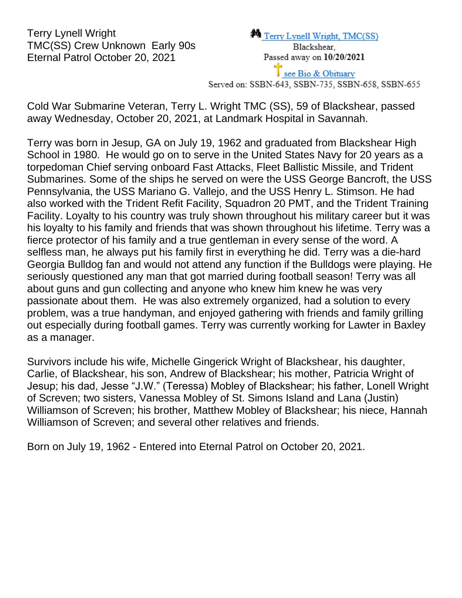Terry Lynell Wright TMC(SS) Crew Unknown Early 90s Eternal Patrol October 20, 2021

Cold War Submarine Veteran, Terry L. Wright TMC (SS), 59 of Blackshear, passed away Wednesday, October 20, 2021, at Landmark Hospital in Savannah.

Terry was born in Jesup, GA on July 19, 1962 and graduated from Blackshear High School in 1980. He would go on to serve in the United States Navy for 20 years as a torpedoman Chief serving onboard Fast Attacks, Fleet Ballistic Missile, and Trident Submarines. Some of the ships he served on were the USS George Bancroft, the USS Pennsylvania, the USS Mariano G. Vallejo, and the USS Henry L. Stimson. He had also worked with the Trident Refit Facility, Squadron 20 PMT, and the Trident Training Facility. Loyalty to his country was truly shown throughout his military career but it was his loyalty to his family and friends that was shown throughout his lifetime. Terry was a fierce protector of his family and a true gentleman in every sense of the word. A selfless man, he always put his family first in everything he did. Terry was a die-hard Georgia Bulldog fan and would not attend any function if the Bulldogs were playing. He seriously questioned any man that got married during football season! Terry was all about guns and gun collecting and anyone who knew him knew he was very passionate about them. He was also extremely organized, had a solution to every problem, was a true handyman, and enjoyed gathering with friends and family grilling out especially during football games. Terry was currently working for Lawter in Baxley as a manager.

Survivors include his wife, Michelle Gingerick Wright of Blackshear, his daughter, Carlie, of Blackshear, his son, Andrew of Blackshear; his mother, Patricia Wright of Jesup; his dad, Jesse "J.W." (Teressa) Mobley of Blackshear; his father, Lonell Wright of Screven; two sisters, Vanessa Mobley of St. Simons Island and Lana (Justin) Williamson of Screven; his brother, Matthew Mobley of Blackshear; his niece, Hannah Williamson of Screven; and several other relatives and friends.

Born on July 19, 1962 - Entered into Eternal Patrol on October 20, 2021.